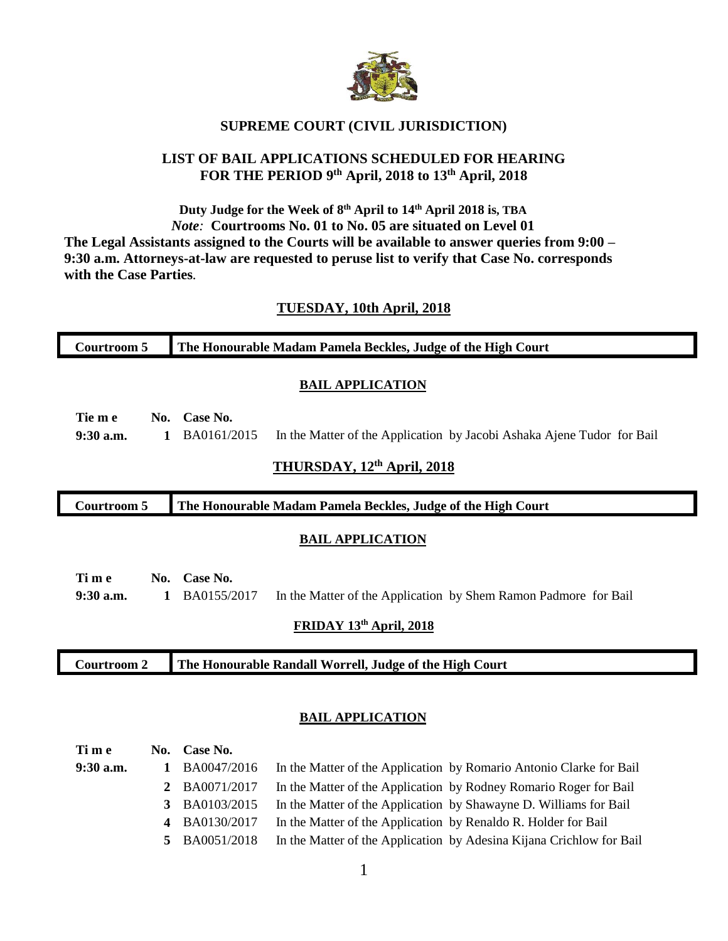

## **SUPREME COURT (CIVIL JURISDICTION)**

## **LIST OF BAIL APPLICATIONS SCHEDULED FOR HEARING FOR THE PERIOD 9 th April, 2018 to 13th April, 2018**

## **Duty Judge for the Week of 8 th April to 14th April 2018 is, TBA** *Note:* **Courtrooms No. 01 to No. 05 are situated on Level 01 The Legal Assistants assigned to the Courts will be available to answer queries from 9:00 – 9:30 a.m. Attorneys-at-law are requested to peruse list to verify that Case No. corresponds with the Case Parties***.*

## **TUESDAY, 10th April, 2018**

| <b>Courtroom 5</b>                                                                 | The Honourable Madam Pamela Beckles, Judge of the High Court                                                                        |  |  |  |  |  |  |
|------------------------------------------------------------------------------------|-------------------------------------------------------------------------------------------------------------------------------------|--|--|--|--|--|--|
| <b>BAIL APPLICATION</b>                                                            |                                                                                                                                     |  |  |  |  |  |  |
| Tie m e<br>$9:30$ a.m.<br>1                                                        | No. Case No.<br>BA0161/2015<br>In the Matter of the Application by Jacobi Ashaka Ajene Tudor for Bail<br>THURSDAY, 12th April, 2018 |  |  |  |  |  |  |
| <b>Courtroom 5</b><br>The Honourable Madam Pamela Beckles, Judge of the High Court |                                                                                                                                     |  |  |  |  |  |  |
| <b>BAIL APPLICATION</b>                                                            |                                                                                                                                     |  |  |  |  |  |  |
| Time<br>$9:30$ a.m.<br>1                                                           | No. Case No.<br>BA0155/2017<br>In the Matter of the Application by Shem Ramon Padmore for Bail<br>FRIDAY 13th April, 2018           |  |  |  |  |  |  |
| The Honourable Randall Worrell, Judge of the High Court<br><b>Courtroom 2</b>      |                                                                                                                                     |  |  |  |  |  |  |

#### **BAIL APPLICATION**

| Time        | No. Case No.  |                                                                      |
|-------------|---------------|----------------------------------------------------------------------|
| $9:30$ a.m. | 1 BA0047/2016 | In the Matter of the Application by Romario Antonio Clarke for Bail  |
|             | 2 BA0071/2017 | In the Matter of the Application by Rodney Romario Roger for Bail    |
|             | 3 BA0103/2015 | In the Matter of the Application by Shawayne D. Williams for Bail    |
|             | 4 BA0130/2017 | In the Matter of the Application by Renaldo R. Holder for Bail       |
|             | 5 BA0051/2018 | In the Matter of the Application by Adesina Kijana Crichlow for Bail |